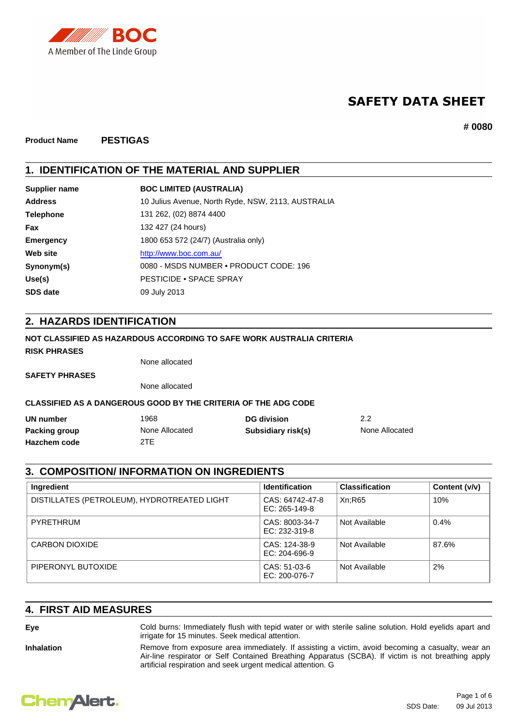

# **SAFETY DATA SHEET**

**# 0080**

**Product Name PESTIGAS**

## **1. IDENTIFICATION OF THE MATERIAL AND SUPPLIER**

| 10 Julius Avenue, North Ryde, NSW, 2113, AUSTRALIA<br><b>Address</b><br>131 262, (02) 8874 4400<br><b>Telephone</b><br>132 427 (24 hours)<br><b>Fax</b><br>1800 653 572 (24/7) (Australia only)<br><b>Emergency</b><br>http://www.boc.com.au/<br>Web site<br>0080 - MSDS NUMBER • PRODUCT CODE: 196<br>Synonym(s)<br><b>PESTICIDE • SPACE SPRAY</b><br>Use(s)<br>09 July 2013<br><b>SDS date</b> | Supplier name | <b>BOC LIMITED (AUSTRALIA)</b> |
|--------------------------------------------------------------------------------------------------------------------------------------------------------------------------------------------------------------------------------------------------------------------------------------------------------------------------------------------------------------------------------------------------|---------------|--------------------------------|
|                                                                                                                                                                                                                                                                                                                                                                                                  |               |                                |
|                                                                                                                                                                                                                                                                                                                                                                                                  |               |                                |
|                                                                                                                                                                                                                                                                                                                                                                                                  |               |                                |
|                                                                                                                                                                                                                                                                                                                                                                                                  |               |                                |
|                                                                                                                                                                                                                                                                                                                                                                                                  |               |                                |
|                                                                                                                                                                                                                                                                                                                                                                                                  |               |                                |
|                                                                                                                                                                                                                                                                                                                                                                                                  |               |                                |
|                                                                                                                                                                                                                                                                                                                                                                                                  |               |                                |

## **2. HAZARDS IDENTIFICATION**

### **NOT CLASSIFIED AS HAZARDOUS ACCORDING TO SAFE WORK AUSTRALIA CRITERIA**

#### **RISK PHRASES**

None allocated

**SAFETY PHRASES**

None allocated

### **CLASSIFIED AS A DANGEROUS GOOD BY THE CRITERIA OF THE ADG CODE**

| UN number     | 1968           | <b>DG</b> division | 2.2            |
|---------------|----------------|--------------------|----------------|
| Packing group | None Allocated | Subsidiary risk(s) | None Allocated |
| Hazchem code  | 2TE            |                    |                |

## **3. COMPOSITION/ INFORMATION ON INGREDIENTS**

| Ingredient                                  | <b>Identification</b>              | <b>Classification</b> | Content (v/v) |
|---------------------------------------------|------------------------------------|-----------------------|---------------|
| DISTILLATES (PETROLEUM), HYDROTREATED LIGHT | CAS: 64742-47-8<br>$EC: 265-149-8$ | Xn;R65                | 10%           |
| PYRETHRUM                                   | CAS: 8003-34-7<br>EC: 232-319-8    | Not Available         | 0.4%          |
| CARBON DIOXIDE                              | CAS: 124-38-9<br>$EC: 204-696-9$   | Not Available         | 87.6%         |
| PIPERONYL BUTOXIDE                          | CAS: 51-03-6<br>EC: 200-076-7      | Not Available         | 2%            |

artificial respiration and seek urgent medical attention. G

## **4. FIRST AID MEASURES**

**Eye** Cold burns: Immediately flush with tepid water or with sterile saline solution. Hold eyelids apart and irrigate for 15 minutes. Seek medical attention.

Inhalation **Remove from exposure area immediately.** If assisting a victim, avoid becoming a casualty, wear an Air-line respirator or Self Contained Breathing Apparatus (SCBA). If victim is not breathing apply

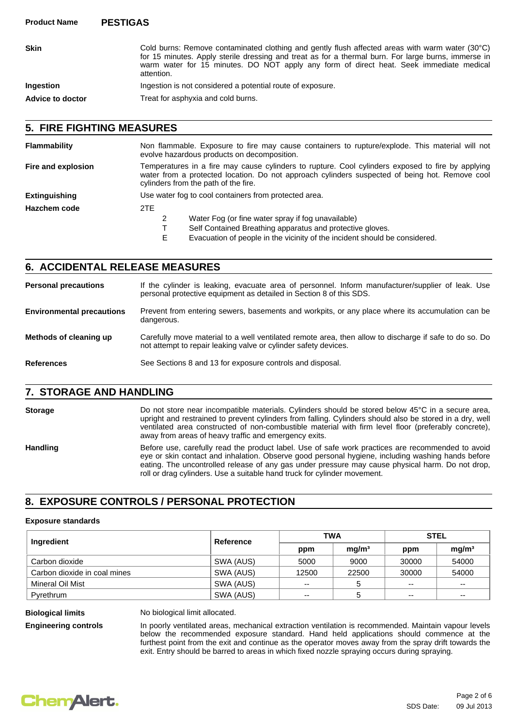| <b>Skin</b>             | Cold burns: Remove contaminated clothing and gently flush affected areas with warm water (30°C)<br>for 15 minutes. Apply sterile dressing and treat as for a thermal burn. For large burns, immerse in<br>warm water for 15 minutes. DO NOT apply any form of direct heat. Seek immediate medical<br>attention. |
|-------------------------|-----------------------------------------------------------------------------------------------------------------------------------------------------------------------------------------------------------------------------------------------------------------------------------------------------------------|
| <b>Ingestion</b>        | Ingestion is not considered a potential route of exposure.                                                                                                                                                                                                                                                      |
| <b>Advice to doctor</b> | Treat for asphyxia and cold burns.                                                                                                                                                                                                                                                                              |

### **5. FIRE FIGHTING MEASURES**

| <b>Flammability</b>  | Non flammable. Exposure to fire may cause containers to rupture/explode. This material will not<br>evolve hazardous products on decomposition.                                                                                              |  |
|----------------------|---------------------------------------------------------------------------------------------------------------------------------------------------------------------------------------------------------------------------------------------|--|
| Fire and explosion   | Temperatures in a fire may cause cylinders to rupture. Cool cylinders exposed to fire by applying<br>water from a protected location. Do not approach cylinders suspected of being hot. Remove cool<br>cylinders from the path of the fire. |  |
| <b>Extinguishing</b> | Use water fog to cool containers from protected area.                                                                                                                                                                                       |  |
| Hazchem code         | 2TE                                                                                                                                                                                                                                         |  |
|                      | Water Fog (or fine water spray if fog unavailable)                                                                                                                                                                                          |  |
|                      | Self Contained Breathing apparatus and protective gloves.                                                                                                                                                                                   |  |
|                      |                                                                                                                                                                                                                                             |  |

E Evacuation of people in the vicinity of the incident should be considered.

## **6. ACCIDENTAL RELEASE MEASURES**

If the cylinder is leaking, evacuate area of personnel. Inform manufacturer/supplier of leak. Use personal protective equipment as detailed in Section 8 of this SDS. **Personal precautions** Prevent from entering sewers, basements and workpits, or any place where its accumulation can be dangerous. **Environmental precautions** Carefully move material to a well ventilated remote area, then allow to discharge if safe to do so. Do not attempt to repair leaking valve or cylinder safety devices. **Methods of cleaning up References** See Sections 8 and 13 for exposure controls and disposal.

## **7. STORAGE AND HANDLING**

Storage **External CO not store near incompatible materials.** Cylinders should be stored below 45°C in a secure area, upright and restrained to prevent cylinders from falling. Cylinders should also be stored in a dry, well ventilated area constructed of non-combustible material with firm level floor (preferably concrete), away from areas of heavy traffic and emergency exits.

Handling Before use, carefully read the product label. Use of safe work practices are recommended to avoid eye or skin contact and inhalation. Observe good personal hygiene, including washing hands before eating. The uncontrolled release of any gas under pressure may cause physical harm. Do not drop, roll or drag cylinders. Use a suitable hand truck for cylinder movement.

## **8. EXPOSURE CONTROLS / PERSONAL PROTECTION**

#### **Exposure standards**

| Ingredient                   | Reference | <b>TWA</b> |                   | <b>STEL</b> |                          |
|------------------------------|-----------|------------|-------------------|-------------|--------------------------|
|                              |           | ppm        | mg/m <sup>3</sup> | ppm         | mg/m <sup>3</sup>        |
| Carbon dioxide               | SWA (AUS) | 5000       | 9000              | 30000       | 54000                    |
| Carbon dioxide in coal mines | SWA (AUS) | 12500      | 22500             | 30000       | 54000                    |
| Mineral Oil Mist             | SWA (AUS) | $- -$      | 5                 | --          | $- -$                    |
| Pyrethrum                    | SWA (AUS) | $- -$      |                   | --          | $\overline{\phantom{a}}$ |

**Biological limits** No biological limit allocated.

**Engineering controls** In poorly ventilated areas, mechanical extraction ventilation is recommended. Maintain vapour levels below the recommended exposure standard. Hand held applications should commence at the furthest point from the exit and continue as the operator moves away from the spray drift towards the exit. Entry should be barred to areas in which fixed nozzle spraying occurs during spraying.

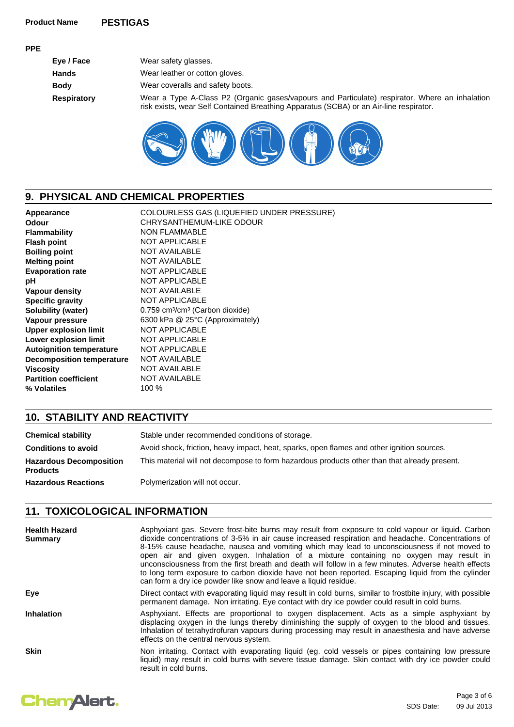#### **PPE**

| Eye / Face         | Wear safety glasses.                                                                                                                                                                     |
|--------------------|------------------------------------------------------------------------------------------------------------------------------------------------------------------------------------------|
| <b>Hands</b>       | Wear leather or cotton gloves.                                                                                                                                                           |
| <b>Body</b>        | Wear coveralls and safety boots.                                                                                                                                                         |
| <b>Respiratory</b> | Wear a Type A-Class P2 (Organic gases/vapours and Particulate) respirator. Where an inhalation<br>risk exists, wear Self Contained Breathing Apparatus (SCBA) or an Air-line respirator. |



# **9. PHYSICAL AND CHEMICAL PROPERTIES**

| Appearance                       | COLOURLESS GAS (LIQUEFIED UNDER PRESSURE)               |
|----------------------------------|---------------------------------------------------------|
| <b>Odour</b>                     | CHRYSANTHEMUM-LIKE ODOUR                                |
| <b>Flammability</b>              | <b>NON FLAMMABLE</b>                                    |
| <b>Flash point</b>               | <b>NOT APPLICABLE</b>                                   |
| <b>Boiling point</b>             | <b>NOT AVAILABLE</b>                                    |
| <b>Melting point</b>             | <b>NOT AVAILABLE</b>                                    |
| <b>Evaporation rate</b>          | <b>NOT APPLICABLE</b>                                   |
| рH                               | <b>NOT APPLICABLE</b>                                   |
| Vapour density                   | <b>NOT AVAILABLE</b>                                    |
| <b>Specific gravity</b>          | <b>NOT APPLICABLE</b>                                   |
| <b>Solubility (water)</b>        | 0.759 cm <sup>3</sup> /cm <sup>3</sup> (Carbon dioxide) |
| Vapour pressure                  | 6300 kPa @ 25°C (Approximately)                         |
| <b>Upper explosion limit</b>     | <b>NOT APPLICABLE</b>                                   |
| Lower explosion limit            | <b>NOT APPLICABLE</b>                                   |
| <b>Autoignition temperature</b>  | <b>NOT APPLICABLE</b>                                   |
| <b>Decomposition temperature</b> | <b>NOT AVAILABLE</b>                                    |
| <b>Viscosity</b>                 | <b>NOT AVAILABLE</b>                                    |
| <b>Partition coefficient</b>     | <b>NOT AVAILABLE</b>                                    |
| % Volatiles                      | 100 %                                                   |
|                                  |                                                         |

# **10. STABILITY AND REACTIVITY**

| <b>Chemical stability</b>                         | Stable under recommended conditions of storage.                                              |
|---------------------------------------------------|----------------------------------------------------------------------------------------------|
| <b>Conditions to avoid</b>                        | Avoid shock, friction, heavy impact, heat, sparks, open flames and other ignition sources.   |
| <b>Hazardous Decomposition</b><br><b>Products</b> | This material will not decompose to form hazardous products other than that already present. |
| <b>Hazardous Reactions</b>                        | Polymerization will not occur.                                                               |

## **11. TOXICOLOGICAL INFORMATION**

| <b>Health Hazard</b><br><b>Summary</b> | Asphyxiant gas. Severe frost-bite burns may result from exposure to cold vapour or liquid. Carbon<br>dioxide concentrations of 3-5% in air cause increased respiration and headache. Concentrations of<br>8-15% cause headache, nausea and vomiting which may lead to unconsciousness if not moved to<br>open air and given oxygen. Inhalation of a mixture containing no oxygen may result in<br>unconsciousness from the first breath and death will follow in a few minutes. Adverse health effects<br>to long term exposure to carbon dioxide have not been reported. Escaping liquid from the cylinder<br>can form a dry ice powder like snow and leave a liquid residue. |
|----------------------------------------|--------------------------------------------------------------------------------------------------------------------------------------------------------------------------------------------------------------------------------------------------------------------------------------------------------------------------------------------------------------------------------------------------------------------------------------------------------------------------------------------------------------------------------------------------------------------------------------------------------------------------------------------------------------------------------|
| Eye                                    | Direct contact with evaporating liquid may result in cold burns, similar to frostbite injury, with possible<br>permanent damage. Non irritating. Eye contact with dry ice powder could result in cold burns.                                                                                                                                                                                                                                                                                                                                                                                                                                                                   |
| <b>Inhalation</b>                      | Asphyxiant. Effects are proportional to oxygen displacement. Acts as a simple asphyxiant by<br>displacing oxygen in the lungs thereby diminishing the supply of oxygen to the blood and tissues.<br>Inhalation of tetrahydrofuran vapours during processing may result in anaesthesia and have adverse<br>effects on the central nervous system.                                                                                                                                                                                                                                                                                                                               |
| <b>Skin</b>                            | Non irritating. Contact with evaporating liquid (eg. cold vessels or pipes containing low pressure<br>liquid) may result in cold burns with severe tissue damage. Skin contact with dry ice powder could<br>result in cold burns.                                                                                                                                                                                                                                                                                                                                                                                                                                              |

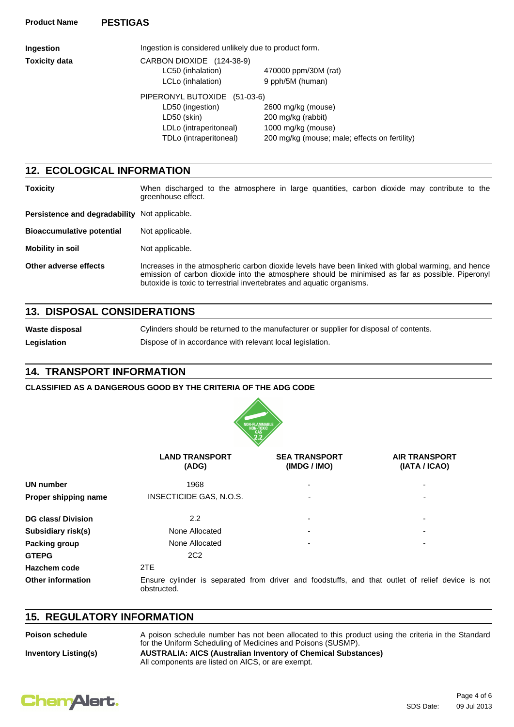| Ingestion            | Ingestion is considered unlikely due to product form. |                                               |  |
|----------------------|-------------------------------------------------------|-----------------------------------------------|--|
| <b>Toxicity data</b> | CARBON DIOXIDE (124-38-9)                             |                                               |  |
|                      | LC50 (inhalation)                                     | 470000 ppm/30M (rat)                          |  |
|                      | LCLo (inhalation)                                     | 9 pph/5M (human)                              |  |
|                      | PIPERONYL BUTOXIDE<br>$(51-03-6)$                     |                                               |  |
|                      | LD50 (ingestion)                                      | 2600 mg/kg (mouse)                            |  |
|                      | LD50 (skin)                                           | 200 mg/kg (rabbit)                            |  |
|                      | LDLo (intraperitoneal)                                | 1000 mg/kg (mouse)                            |  |
|                      | TDLo (intraperitoneal)                                | 200 mg/kg (mouse; male; effects on fertility) |  |
|                      |                                                       |                                               |  |

## **12. ECOLOGICAL INFORMATION**

| <b>Toxicity</b>                               | When discharged to the atmosphere in large quantities, carbon dioxide may contribute to the<br>greenhouse effect.                                                                                                                                                               |  |
|-----------------------------------------------|---------------------------------------------------------------------------------------------------------------------------------------------------------------------------------------------------------------------------------------------------------------------------------|--|
| Persistence and degradability Not applicable. |                                                                                                                                                                                                                                                                                 |  |
| <b>Bioaccumulative potential</b>              | Not applicable.                                                                                                                                                                                                                                                                 |  |
| <b>Mobility in soil</b>                       | Not applicable.                                                                                                                                                                                                                                                                 |  |
| Other adverse effects                         | Increases in the atmospheric carbon dioxide levels have been linked with global warming, and hence<br>emission of carbon dioxide into the atmosphere should be minimised as far as possible. Piperonyl<br>butoxide is toxic to terrestrial invertebrates and aquatic organisms. |  |

## **13. DISPOSAL CONSIDERATIONS**

**Waste disposal** Cylinders should be returned to the manufacturer or supplier for disposal of contents. Legislation **Dispose of in accordance with relevant local legislation.** 

## **14. TRANSPORT INFORMATION**

### **CLASSIFIED AS A DANGEROUS GOOD BY THE CRITERIA OF THE ADG CODE**



|                           | <b>LAND TRANSPORT</b><br>(ADG) | <b>SEA TRANSPORT</b><br>(IMDG / IMO) | <b>AIR TRANSPORT</b><br>(IATA / ICAO)                                                            |  |
|---------------------------|--------------------------------|--------------------------------------|--------------------------------------------------------------------------------------------------|--|
| <b>UN number</b>          | 1968                           |                                      |                                                                                                  |  |
| Proper shipping name      | INSECTICIDE GAS, N.O.S.        |                                      | ٠                                                                                                |  |
| <b>DG class/ Division</b> | $2.2^{\circ}$                  |                                      | ۰                                                                                                |  |
| Subsidiary risk(s)        | None Allocated                 |                                      |                                                                                                  |  |
| <b>Packing group</b>      | None Allocated<br>۰            |                                      |                                                                                                  |  |
| <b>GTEPG</b>              | 2C <sub>2</sub>                |                                      |                                                                                                  |  |
| Hazchem code              | 2TE                            |                                      |                                                                                                  |  |
| <b>Other information</b>  | obstructed.                    |                                      | Ensure cylinder is separated from driver and foodstuffs, and that outlet of relief device is not |  |

## **15. REGULATORY INFORMATION**

| <b>Poison schedule</b>      | A poison schedule number has not been allocated to this product using the criteria in the Standard<br>for the Uniform Scheduling of Medicines and Poisons (SUSMP). |
|-----------------------------|--------------------------------------------------------------------------------------------------------------------------------------------------------------------|
| <b>Inventory Listing(s)</b> | <b>AUSTRALIA: AICS (Australian Inventory of Chemical Substances)</b><br>All components are listed on AICS, or are exempt.                                          |

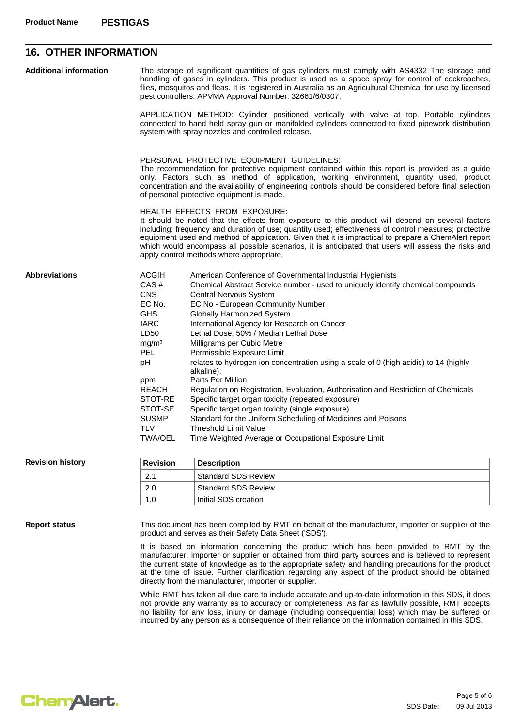# **16. OTHER INFORMATION**

| <b>Additional information</b> | The storage of significant quantities of gas cylinders must comply with AS4332 The storage and<br>handling of gases in cylinders. This product is used as a space spray for control of cockroaches,<br>flies, mosquitos and fleas. It is registered in Australia as an Agricultural Chemical for use by licensed<br>pest controllers. APVMA Approval Number: 32661/6/0307.                      |                                                                                                                                                                                                                                                                                                                                                                                                                                                                                                                                                                                                                                                                                                                                                                                                                                                                                         |  |  |
|-------------------------------|-------------------------------------------------------------------------------------------------------------------------------------------------------------------------------------------------------------------------------------------------------------------------------------------------------------------------------------------------------------------------------------------------|-----------------------------------------------------------------------------------------------------------------------------------------------------------------------------------------------------------------------------------------------------------------------------------------------------------------------------------------------------------------------------------------------------------------------------------------------------------------------------------------------------------------------------------------------------------------------------------------------------------------------------------------------------------------------------------------------------------------------------------------------------------------------------------------------------------------------------------------------------------------------------------------|--|--|
|                               |                                                                                                                                                                                                                                                                                                                                                                                                 | APPLICATION METHOD: Cylinder positioned vertically with valve at top. Portable cylinders<br>connected to hand held spray gun or manifolded cylinders connected to fixed pipework distribution<br>system with spray nozzles and controlled release.                                                                                                                                                                                                                                                                                                                                                                                                                                                                                                                                                                                                                                      |  |  |
|                               | PERSONAL PROTECTIVE EQUIPMENT GUIDELINES:<br>The recommendation for protective equipment contained within this report is provided as a guide<br>only. Factors such as method of application, working environment, quantity used, product<br>concentration and the availability of engineering controls should be considered before final selection<br>of personal protective equipment is made. |                                                                                                                                                                                                                                                                                                                                                                                                                                                                                                                                                                                                                                                                                                                                                                                                                                                                                         |  |  |
|                               |                                                                                                                                                                                                                                                                                                                                                                                                 | <b>HEALTH EFFECTS FROM EXPOSURE:</b><br>It should be noted that the effects from exposure to this product will depend on several factors<br>including: frequency and duration of use; quantity used; effectiveness of control measures; protective<br>equipment used and method of application. Given that it is impractical to prepare a ChemAlert report<br>which would encompass all possible scenarios, it is anticipated that users will assess the risks and<br>apply control methods where appropriate.                                                                                                                                                                                                                                                                                                                                                                          |  |  |
| <b>Abbreviations</b>          | <b>ACGIH</b><br>CAS#<br><b>CNS</b><br>EC No.<br><b>GHS</b><br><b>IARC</b><br>LD50<br>mg/m <sup>3</sup><br>PEL<br>рH<br>ppm<br><b>REACH</b><br>STOT-RE<br>STOT-SE<br><b>SUSMP</b><br><b>TLV</b><br><b>TWA/OEL</b>                                                                                                                                                                                | American Conference of Governmental Industrial Hygienists<br>Chemical Abstract Service number - used to uniquely identify chemical compounds<br>Central Nervous System<br>EC No - European Community Number<br><b>Globally Harmonized System</b><br>International Agency for Research on Cancer<br>Lethal Dose, 50% / Median Lethal Dose<br>Milligrams per Cubic Metre<br>Permissible Exposure Limit<br>relates to hydrogen ion concentration using a scale of 0 (high acidic) to 14 (highly<br>alkaline).<br>Parts Per Million<br>Regulation on Registration, Evaluation, Authorisation and Restriction of Chemicals<br>Specific target organ toxicity (repeated exposure)<br>Specific target organ toxicity (single exposure)<br>Standard for the Uniform Scheduling of Medicines and Poisons<br><b>Threshold Limit Value</b><br>Time Weighted Average or Occupational Exposure Limit |  |  |
|                               |                                                                                                                                                                                                                                                                                                                                                                                                 |                                                                                                                                                                                                                                                                                                                                                                                                                                                                                                                                                                                                                                                                                                                                                                                                                                                                                         |  |  |

#### **Revision history**

| Revision | <b>Description</b>         |
|----------|----------------------------|
| つっ       | <b>Standard SDS Review</b> |
| 2.0      | Standard SDS Review.       |
| 1.0      | Initial SDS creation       |

#### **Report status**

This document has been compiled by RMT on behalf of the manufacturer, importer or supplier of the product and serves as their Safety Data Sheet ('SDS').

It is based on information concerning the product which has been provided to RMT by the manufacturer, importer or supplier or obtained from third party sources and is believed to represent the current state of knowledge as to the appropriate safety and handling precautions for the product at the time of issue. Further clarification regarding any aspect of the product should be obtained directly from the manufacturer, importer or supplier.

While RMT has taken all due care to include accurate and up-to-date information in this SDS, it does not provide any warranty as to accuracy or completeness. As far as lawfully possible, RMT accepts no liability for any loss, injury or damage (including consequential loss) which may be suffered or incurred by any person as a consequence of their reliance on the information contained in this SDS.